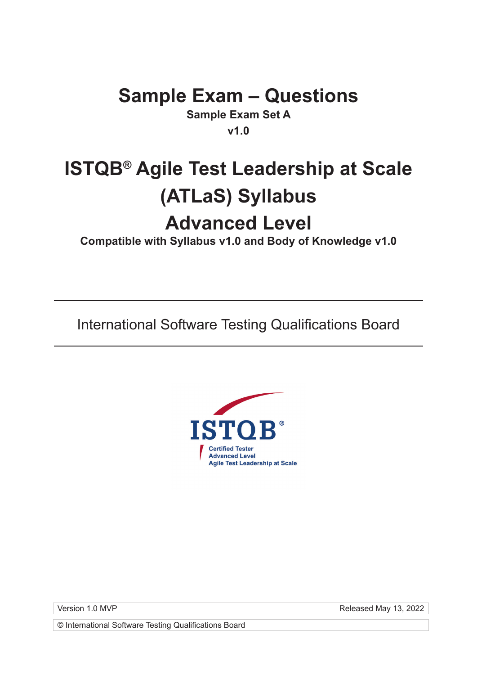## **Sample Exam – Questions**

**Sample Exam Set A v1.0**

# **ISTQB® Agile Test Leadership at Scale (ATLaS) Syllabus Advanced Level**

**Compatible with Syllabus v1.0 and Body of Knowledge v1.0**

International Software Testing Qualifications Board



Version 1.0 MVP **Released May 13, 2022**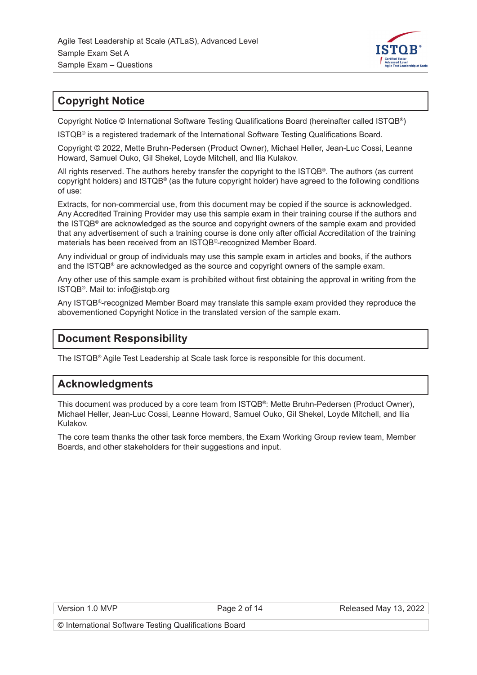

#### **Copyright Notice**

Copyright Notice © International Software Testing Qualifications Board (hereinafter called ISTQB®)

ISTQB® is a registered trademark of the International Software Testing Qualifications Board.

Copyright © 2022, Mette Bruhn-Pedersen (Product Owner), Michael Heller, Jean-Luc Cossi, Leanne Howard, Samuel Ouko, Gil Shekel, Loyde Mitchell, and Ilia Kulakov.

All rights reserved. The authors hereby transfer the copyright to the ISTQB®. The authors (as current copyright holders) and ISTQB® (as the future copyright holder) have agreed to the following conditions of use:

Extracts, for non-commercial use, from this document may be copied if the source is acknowledged. Any Accredited Training Provider may use this sample exam in their training course if the authors and the ISTQB® are acknowledged as the source and copyright owners of the sample exam and provided that any advertisement of such a training course is done only after official Accreditation of the training materials has been received from an ISTQB®-recognized Member Board.

Any individual or group of individuals may use this sample exam in articles and books, if the authors and the ISTQB<sup>®</sup> are acknowledged as the source and copyright owners of the sample exam.

Any other use of this sample exam is prohibited without first obtaining the approval in writing from the ISTQB®. Mail to: info@istqb.org

Any ISTQB®-recognized Member Board may translate this sample exam provided they reproduce the abovementioned Copyright Notice in the translated version of the sample exam.

## **Document Responsibility**

The ISTQB® Agile Test Leadership at Scale task force is responsible for this document.

#### **Acknowledgments**

This document was produced by a core team from ISTQB®: Mette Bruhn-Pedersen (Product Owner), Michael Heller, Jean-Luc Cossi, Leanne Howard, Samuel Ouko, Gil Shekel, Loyde Mitchell, and Ilia Kulakov.

The core team thanks the other task force members, the Exam Working Group review team, Member Boards, and other stakeholders for their suggestions and input.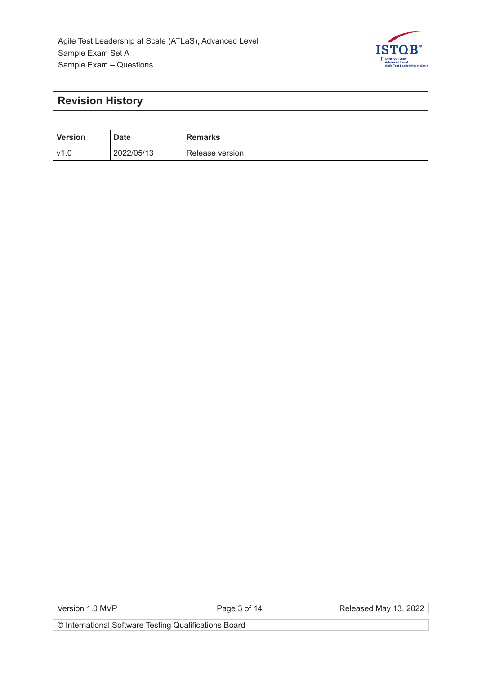

## **Revision History**

| <b>Version</b> | <b>Date</b> | <b>Remarks</b>  |
|----------------|-------------|-----------------|
| v1.0           | 2022/05/13  | Release version |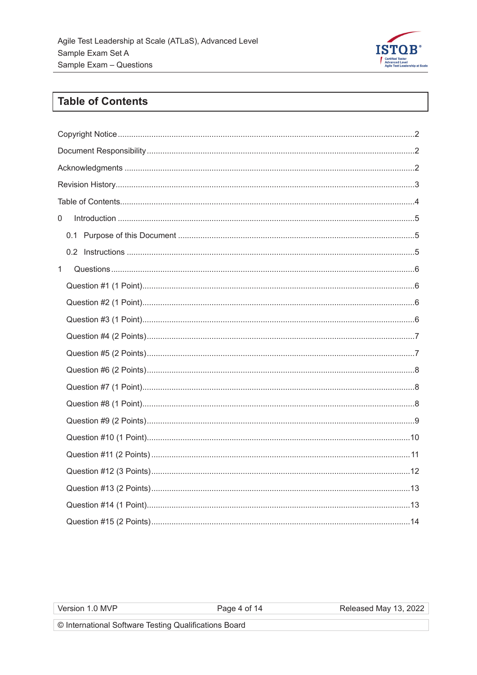

## **Table of Contents**

| $\label{eq:interoduction} \text{Introduction} \,\, \ldots \,\, \ldots \,\, \ldots \,\, \ldots \,\, \ldots \,\, \ldots \,\, \ldots \,\, \ldots \,\, \ldots \,\, \ldots \,\, \ldots \,\, \ldots \,\, \ldots \,\, \ldots \,\, \ldots \,\, \ldots \,\, \ldots \,\, \ldots \,\, \ldots \,\, \ldots \,\, \ldots \,\, \ldots \,\, \ldots \,\, \ldots \,\, \ldots \,\, \ldots \,\, \ldots \,\, \ldots \,\, \ldots \,\, \ldots \,\, \ldots \,\, \ldots \,\, \ldots \,\, \ldots \,\$<br>$\overline{0}$ |
|----------------------------------------------------------------------------------------------------------------------------------------------------------------------------------------------------------------------------------------------------------------------------------------------------------------------------------------------------------------------------------------------------------------------------------------------------------------------------------------------|
|                                                                                                                                                                                                                                                                                                                                                                                                                                                                                              |
|                                                                                                                                                                                                                                                                                                                                                                                                                                                                                              |
| 1                                                                                                                                                                                                                                                                                                                                                                                                                                                                                            |
|                                                                                                                                                                                                                                                                                                                                                                                                                                                                                              |
|                                                                                                                                                                                                                                                                                                                                                                                                                                                                                              |
|                                                                                                                                                                                                                                                                                                                                                                                                                                                                                              |
|                                                                                                                                                                                                                                                                                                                                                                                                                                                                                              |
|                                                                                                                                                                                                                                                                                                                                                                                                                                                                                              |
|                                                                                                                                                                                                                                                                                                                                                                                                                                                                                              |
|                                                                                                                                                                                                                                                                                                                                                                                                                                                                                              |
|                                                                                                                                                                                                                                                                                                                                                                                                                                                                                              |
|                                                                                                                                                                                                                                                                                                                                                                                                                                                                                              |
|                                                                                                                                                                                                                                                                                                                                                                                                                                                                                              |
|                                                                                                                                                                                                                                                                                                                                                                                                                                                                                              |
|                                                                                                                                                                                                                                                                                                                                                                                                                                                                                              |
|                                                                                                                                                                                                                                                                                                                                                                                                                                                                                              |
|                                                                                                                                                                                                                                                                                                                                                                                                                                                                                              |
|                                                                                                                                                                                                                                                                                                                                                                                                                                                                                              |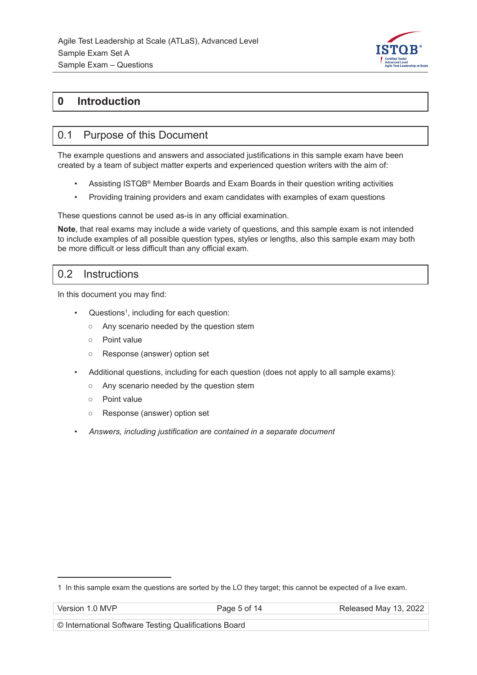

#### **0 Introduction**

#### 0.1 Purpose of this Document

The example questions and answers and associated justifications in this sample exam have been created by a team of subject matter experts and experienced question writers with the aim of:

- Assisting ISTQB® Member Boards and Exam Boards in their question writing activities
- Providing training providers and exam candidates with examples of exam questions

These questions cannot be used as-is in any official examination.

**Note**, that real exams may include a wide variety of questions, and this sample exam is not intended to include examples of all possible question types, styles or lengths, also this sample exam may both be more difficult or less difficult than any official exam.

#### 0.2 Instructions

In this document you may find:

- Questions<sup>1</sup>, including for each question:
	- Any scenario needed by the question stem
	- Point value
	- Response (answer) option set
- Additional questions, including for each question (does not apply to all sample exams):
	- Any scenario needed by the question stem
	- Point value
	- Response (answer) option set
- *Answers, including justification are contained in a separate document*

<sup>1</sup> In this sample exam the questions are sorted by the LO they target; this cannot be expected of a live exam.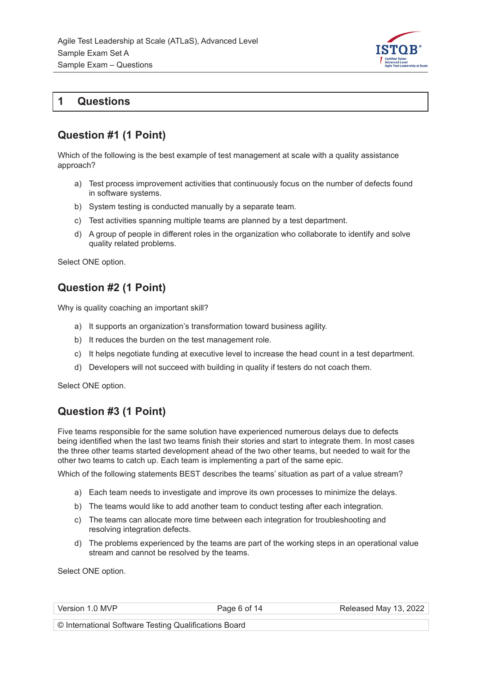

#### **1 Questions**

## **Question #1 (1 Point)**

Which of the following is the best example of test management at scale with a quality assistance approach?

- a) Test process improvement activities that continuously focus on the number of defects found in software systems.
- b) System testing is conducted manually by a separate team.
- c) Test activities spanning multiple teams are planned by a test department.
- d) A group of people in different roles in the organization who collaborate to identify and solve quality related problems.

Select ONE option.

#### **Question #2 (1 Point)**

Why is quality coaching an important skill?

- a) It supports an organization's transformation toward business agility.
- b) It reduces the burden on the test management role.
- c) It helps negotiate funding at executive level to increase the head count in a test department.
- d) Developers will not succeed with building in quality if testers do not coach them.

Select ONE option.

#### **Question #3 (1 Point)**

Five teams responsible for the same solution have experienced numerous delays due to defects being identified when the last two teams finish their stories and start to integrate them. In most cases the three other teams started development ahead of the two other teams, but needed to wait for the other two teams to catch up. Each team is implementing a part of the same epic.

Which of the following statements BEST describes the teams' situation as part of a value stream?

- a) Each team needs to investigate and improve its own processes to minimize the delays.
- b) The teams would like to add another team to conduct testing after each integration.
- c) The teams can allocate more time between each integration for troubleshooting and resolving integration defects.
- d) The problems experienced by the teams are part of the working steps in an operational value stream and cannot be resolved by the teams.

Select ONE option.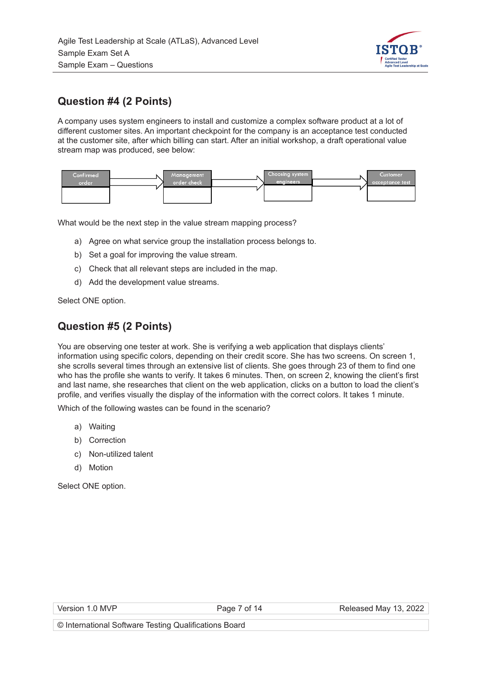

## **Question #4 (2 Points)**

A company uses system engineers to install and customize a complex software product at a lot of different customer sites. An important checkpoint for the company is an acceptance test conducted at the customer site, after which billing can start. After an initial workshop, a draft operational value stream map was produced, see below:



What would be the next step in the value stream mapping process?

- a) Agree on what service group the installation process belongs to.
- b) Set a goal for improving the value stream.
- c) Check that all relevant steps are included in the map.
- d) Add the development value streams.

Select ONE option.

#### **Question #5 (2 Points)**

You are observing one tester at work. She is verifying a web application that displays clients' information using specific colors, depending on their credit score. She has two screens. On screen 1, she scrolls several times through an extensive list of clients. She goes through 23 of them to find one who has the profile she wants to verify. It takes 6 minutes. Then, on screen 2, knowing the client's first and last name, she researches that client on the web application, clicks on a button to load the client's profile, and verifies visually the display of the information with the correct colors. It takes 1 minute.

Which of the following wastes can be found in the scenario?

- a) Waiting
- b) Correction
- c) Non-utilized talent
- d) Motion

|  | Version 1.0 MVP |  |  |
|--|-----------------|--|--|
|--|-----------------|--|--|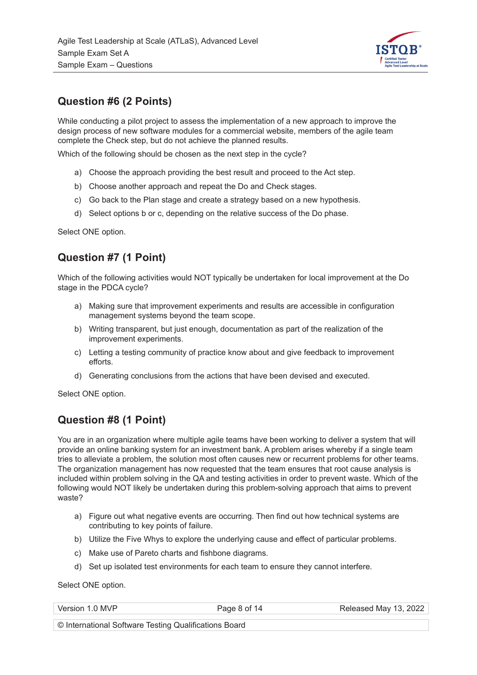

## **Question #6 (2 Points)**

While conducting a pilot project to assess the implementation of a new approach to improve the design process of new software modules for a commercial website, members of the agile team complete the Check step, but do not achieve the planned results.

Which of the following should be chosen as the next step in the cycle?

- a) Choose the approach providing the best result and proceed to the Act step.
- b) Choose another approach and repeat the Do and Check stages.
- c) Go back to the Plan stage and create a strategy based on a new hypothesis.
- d) Select options b or c, depending on the relative success of the Do phase.

Select ONE option.

## **Question #7 (1 Point)**

Which of the following activities would NOT typically be undertaken for local improvement at the Do stage in the PDCA cycle?

- a) Making sure that improvement experiments and results are accessible in configuration management systems beyond the team scope.
- b) Writing transparent, but just enough, documentation as part of the realization of the improvement experiments.
- c) Letting a testing community of practice know about and give feedback to improvement efforts.
- d) Generating conclusions from the actions that have been devised and executed.

Select ONE option.

#### **Question #8 (1 Point)**

You are in an organization where multiple agile teams have been working to deliver a system that will provide an online banking system for an investment bank. A problem arises whereby if a single team tries to alleviate a problem, the solution most often causes new or recurrent problems for other teams. The organization management has now requested that the team ensures that root cause analysis is included within problem solving in the QA and testing activities in order to prevent waste. Which of the following would NOT likely be undertaken during this problem-solving approach that aims to prevent waste?

- a) Figure out what negative events are occurring. Then find out how technical systems are contributing to key points of failure.
- b) Utilize the Five Whys to explore the underlying cause and effect of particular problems.
- c) Make use of Pareto charts and fishbone diagrams.
- d) Set up isolated test environments for each team to ensure they cannot interfere.

Select ONE option.

| Version 1.0 MVP | Page 8 of 14 | Released May 13, 2022 |
|-----------------|--------------|-----------------------|
|                 |              |                       |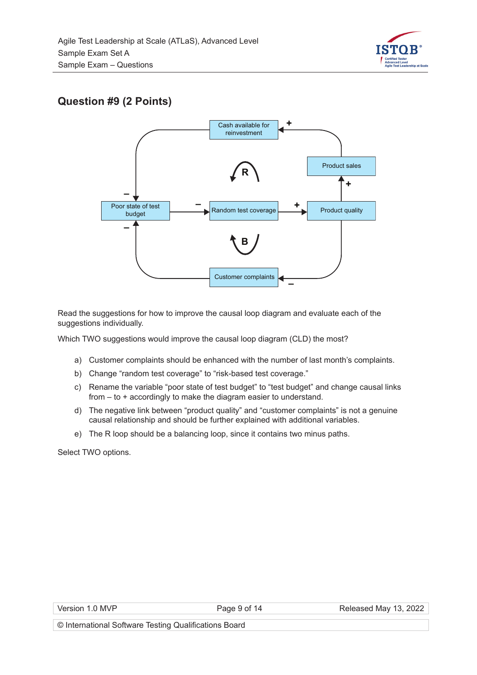

## **Question #9 (2 Points)**



Read the suggestions for how to improve the causal loop diagram and evaluate each of the suggestions individually.

Which TWO suggestions would improve the causal loop diagram (CLD) the most?

- a) Customer complaints should be enhanced with the number of last month's complaints.
- b) Change "random test coverage" to "risk-based test coverage."
- c) Rename the variable "poor state of test budget" to "test budget" and change causal links from – to + accordingly to make the diagram easier to understand.
- d) The negative link between "product quality" and "customer complaints" is not a genuine causal relationship and should be further explained with additional variables.
- e) The R loop should be a balancing loop, since it contains two minus paths.

Select TWO options.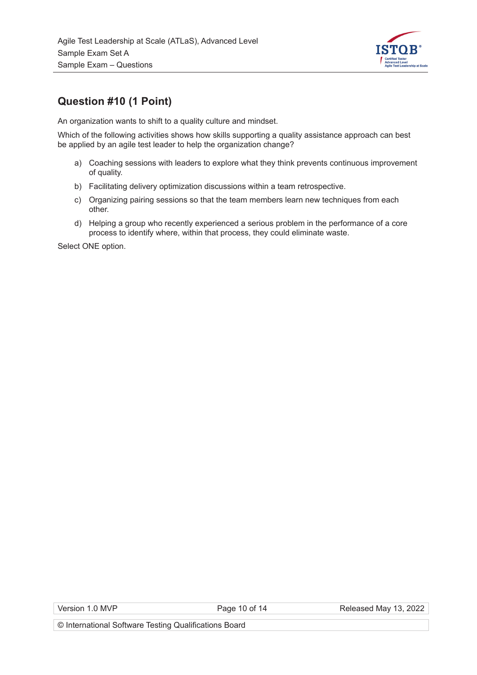

## **Question #10 (1 Point)**

An organization wants to shift to a quality culture and mindset.

Which of the following activities shows how skills supporting a quality assistance approach can best be applied by an agile test leader to help the organization change?

- a) Coaching sessions with leaders to explore what they think prevents continuous improvement of quality.
- b) Facilitating delivery optimization discussions within a team retrospective.
- c) Organizing pairing sessions so that the team members learn new techniques from each other.
- d) Helping a group who recently experienced a serious problem in the performance of a core process to identify where, within that process, they could eliminate waste.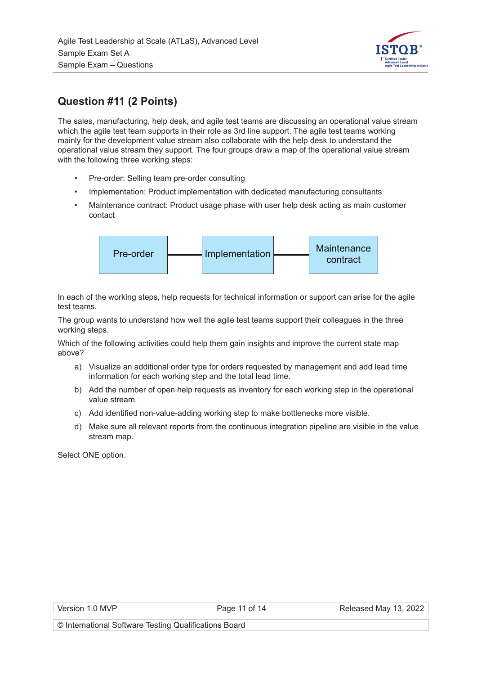

## **Question #11 (2 Points)**

The sales, manufacturing, help desk, and agile test teams are discussing an operational value stream which the agile test team supports in their role as 3rd line support. The agile test teams working mainly for the development value stream also collaborate with the help desk to understand the operational value stream they support. The four groups draw a map of the operational value stream with the following three working steps:

- Pre-order: Selling team pre-order consulting
- Implementation: Product implementation with dedicated manufacturing consultants
- Maintenance contract: Product usage phase with user help desk acting as main customer contact



In each of the working steps, help requests for technical information or support can arise for the agile test teams.

The group wants to understand how well the agile test teams support their colleagues in the three working steps.

Which of the following activities could help them gain insights and improve the current state map above?

- a) Visualize an additional order type for orders requested by management and add lead time information for each working step and the total lead time.
- b) Add the number of open help requests as inventory for each working step in the operational value stream.
- c) Add identified non-value-adding working step to make bottlenecks more visible.
- d) Make sure all relevant reports from the continuous integration pipeline are visible in the value stream map.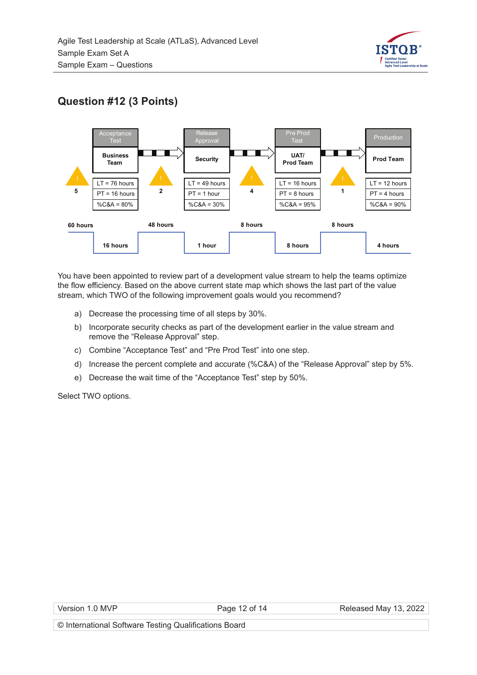

## **Question #12 (3 Points)**



You have been appointed to review part of a development value stream to help the teams optimize the flow efficiency. Based on the above current state map which shows the last part of the value stream, which TWO of the following improvement goals would you recommend?

- a) Decrease the processing time of all steps by 30%.
- b) Incorporate security checks as part of the development earlier in the value stream and remove the "Release Approval" step.
- c) Combine "Acceptance Test" and "Pre Prod Test" into one step.
- d) Increase the percent complete and accurate (%C&A) of the "Release Approval" step by 5%.
- e) Decrease the wait time of the "Acceptance Test" step by 50%.

Select TWO options.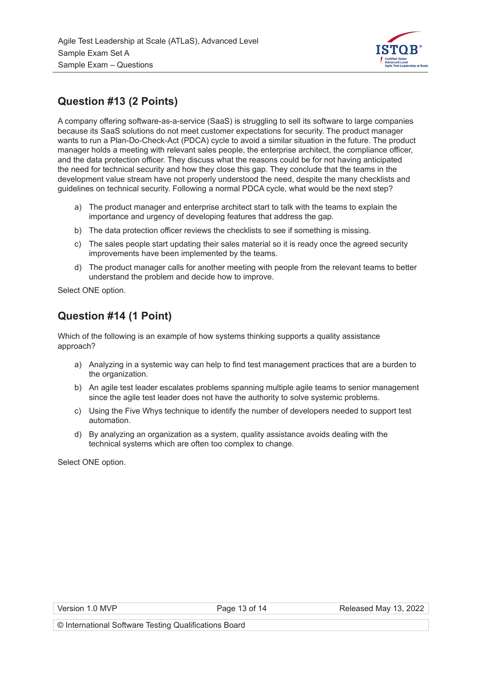

## **Question #13 (2 Points)**

A company offering software-as-a-service (SaaS) is struggling to sell its software to large companies because its SaaS solutions do not meet customer expectations for security. The product manager wants to run a Plan-Do-Check-Act (PDCA) cycle to avoid a similar situation in the future. The product manager holds a meeting with relevant sales people, the enterprise architect, the compliance officer, and the data protection officer. They discuss what the reasons could be for not having anticipated the need for technical security and how they close this gap. They conclude that the teams in the development value stream have not properly understood the need, despite the many checklists and guidelines on technical security. Following a normal PDCA cycle, what would be the next step?

- a) The product manager and enterprise architect start to talk with the teams to explain the importance and urgency of developing features that address the gap.
- b) The data protection officer reviews the checklists to see if something is missing.
- c) The sales people start updating their sales material so it is ready once the agreed security improvements have been implemented by the teams.
- d) The product manager calls for another meeting with people from the relevant teams to better understand the problem and decide how to improve.

Select ONE option.

## **Question #14 (1 Point)**

Which of the following is an example of how systems thinking supports a quality assistance approach?

- a) Analyzing in a systemic way can help to find test management practices that are a burden to the organization.
- b) An agile test leader escalates problems spanning multiple agile teams to senior management since the agile test leader does not have the authority to solve systemic problems.
- c) Using the Five Whys technique to identify the number of developers needed to support test automation.
- d) By analyzing an organization as a system, quality assistance avoids dealing with the technical systems which are often too complex to change.